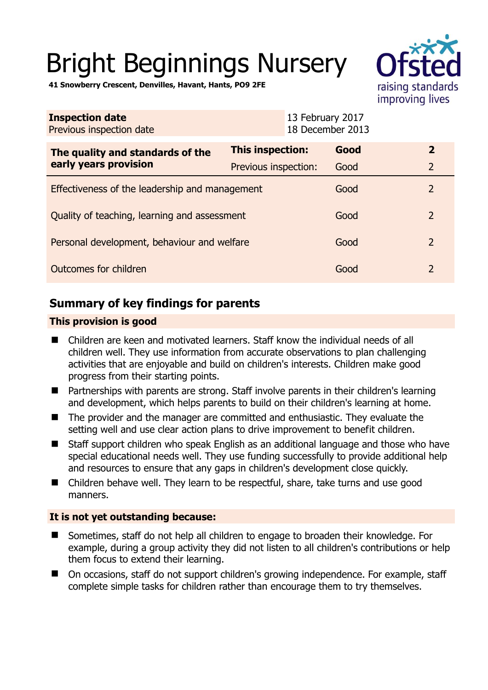# Bright Beginnings Nursery



**41 Snowberry Crescent, Denvilles, Havant, Hants, PO9 2FE** 

| <b>Inspection date</b><br>Previous inspection date        |                         | 13 February 2017<br>18 December 2013 |                |
|-----------------------------------------------------------|-------------------------|--------------------------------------|----------------|
| The quality and standards of the<br>early years provision | <b>This inspection:</b> | Good                                 | $\overline{2}$ |
|                                                           | Previous inspection:    | Good                                 | $\overline{2}$ |
| Effectiveness of the leadership and management            |                         | Good                                 | $\overline{2}$ |
| Quality of teaching, learning and assessment              |                         | Good                                 | $\overline{2}$ |
| Personal development, behaviour and welfare               |                         | Good                                 | $\overline{2}$ |
| Outcomes for children                                     |                         | Good                                 | $\overline{2}$ |

# **Summary of key findings for parents**

# **This provision is good**

- Children are keen and motivated learners. Staff know the individual needs of all children well. They use information from accurate observations to plan challenging activities that are enjoyable and build on children's interests. Children make good progress from their starting points.
- Partnerships with parents are strong. Staff involve parents in their children's learning and development, which helps parents to build on their children's learning at home.
- The provider and the manager are committed and enthusiastic. They evaluate the setting well and use clear action plans to drive improvement to benefit children.
- Staff support children who speak English as an additional language and those who have special educational needs well. They use funding successfully to provide additional help and resources to ensure that any gaps in children's development close quickly.
- Children behave well. They learn to be respectful, share, take turns and use good manners.

# **It is not yet outstanding because:**

- Sometimes, staff do not help all children to engage to broaden their knowledge. For example, during a group activity they did not listen to all children's contributions or help them focus to extend their learning.
- On occasions, staff do not support children's growing independence. For example, staff complete simple tasks for children rather than encourage them to try themselves.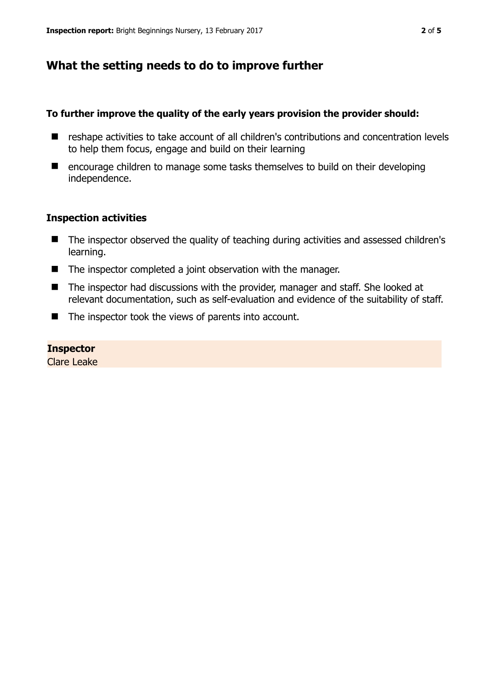# **What the setting needs to do to improve further**

## **To further improve the quality of the early years provision the provider should:**

- reshape activities to take account of all children's contributions and concentration levels to help them focus, engage and build on their learning
- encourage children to manage some tasks themselves to build on their developing independence.

#### **Inspection activities**

- The inspector observed the quality of teaching during activities and assessed children's learning.
- The inspector completed a joint observation with the manager.
- The inspector had discussions with the provider, manager and staff. She looked at relevant documentation, such as self-evaluation and evidence of the suitability of staff.
- $\blacksquare$  The inspector took the views of parents into account.

#### **Inspector**

Clare Leake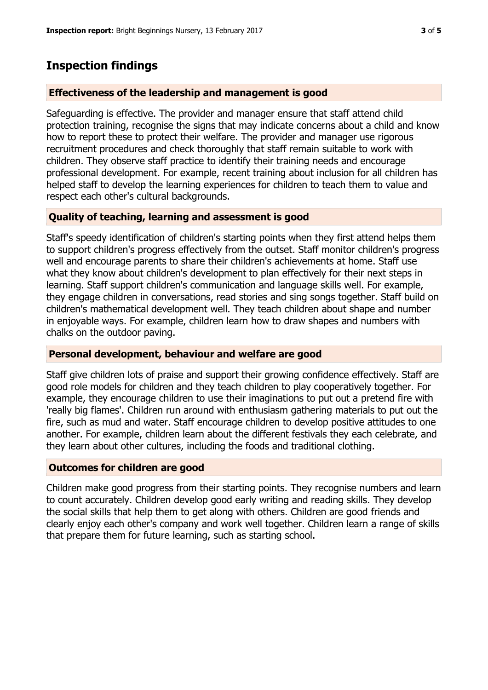# **Inspection findings**

## **Effectiveness of the leadership and management is good**

Safeguarding is effective. The provider and manager ensure that staff attend child protection training, recognise the signs that may indicate concerns about a child and know how to report these to protect their welfare. The provider and manager use rigorous recruitment procedures and check thoroughly that staff remain suitable to work with children. They observe staff practice to identify their training needs and encourage professional development. For example, recent training about inclusion for all children has helped staff to develop the learning experiences for children to teach them to value and respect each other's cultural backgrounds.

# **Quality of teaching, learning and assessment is good**

Staff's speedy identification of children's starting points when they first attend helps them to support children's progress effectively from the outset. Staff monitor children's progress well and encourage parents to share their children's achievements at home. Staff use what they know about children's development to plan effectively for their next steps in learning. Staff support children's communication and language skills well. For example, they engage children in conversations, read stories and sing songs together. Staff build on children's mathematical development well. They teach children about shape and number in enjoyable ways. For example, children learn how to draw shapes and numbers with chalks on the outdoor paving.

## **Personal development, behaviour and welfare are good**

Staff give children lots of praise and support their growing confidence effectively. Staff are good role models for children and they teach children to play cooperatively together. For example, they encourage children to use their imaginations to put out a pretend fire with 'really big flames'. Children run around with enthusiasm gathering materials to put out the fire, such as mud and water. Staff encourage children to develop positive attitudes to one another. For example, children learn about the different festivals they each celebrate, and they learn about other cultures, including the foods and traditional clothing.

## **Outcomes for children are good**

Children make good progress from their starting points. They recognise numbers and learn to count accurately. Children develop good early writing and reading skills. They develop the social skills that help them to get along with others. Children are good friends and clearly enjoy each other's company and work well together. Children learn a range of skills that prepare them for future learning, such as starting school.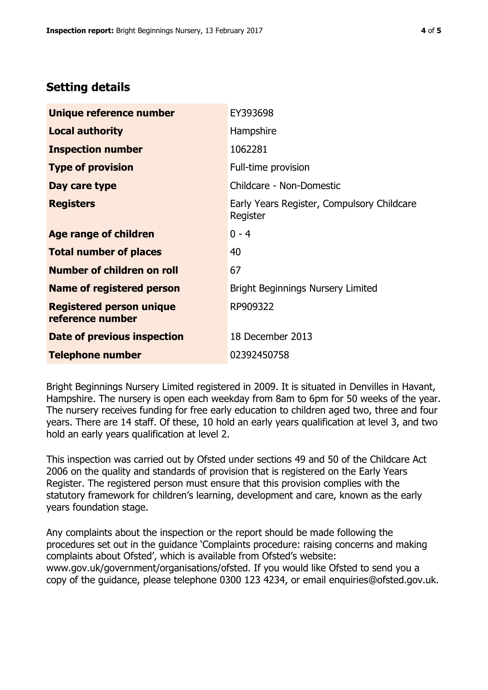# **Setting details**

| Unique reference number                             | EY393698                                               |  |
|-----------------------------------------------------|--------------------------------------------------------|--|
| <b>Local authority</b>                              | Hampshire                                              |  |
| <b>Inspection number</b>                            | 1062281                                                |  |
| <b>Type of provision</b>                            | Full-time provision                                    |  |
| Day care type                                       | Childcare - Non-Domestic                               |  |
| <b>Registers</b>                                    | Early Years Register, Compulsory Childcare<br>Register |  |
| <b>Age range of children</b>                        | $0 - 4$                                                |  |
| <b>Total number of places</b>                       | 40                                                     |  |
| Number of children on roll                          | 67                                                     |  |
| Name of registered person                           | <b>Bright Beginnings Nursery Limited</b>               |  |
| <b>Registered person unique</b><br>reference number | RP909322                                               |  |
| Date of previous inspection                         | 18 December 2013                                       |  |
| <b>Telephone number</b>                             | 02392450758                                            |  |

Bright Beginnings Nursery Limited registered in 2009. It is situated in Denvilles in Havant, Hampshire. The nursery is open each weekday from 8am to 6pm for 50 weeks of the year. The nursery receives funding for free early education to children aged two, three and four years. There are 14 staff. Of these, 10 hold an early years qualification at level 3, and two hold an early years qualification at level 2.

This inspection was carried out by Ofsted under sections 49 and 50 of the Childcare Act 2006 on the quality and standards of provision that is registered on the Early Years Register. The registered person must ensure that this provision complies with the statutory framework for children's learning, development and care, known as the early years foundation stage.

Any complaints about the inspection or the report should be made following the procedures set out in the guidance 'Complaints procedure: raising concerns and making complaints about Ofsted', which is available from Ofsted's website: www.gov.uk/government/organisations/ofsted. If you would like Ofsted to send you a copy of the guidance, please telephone 0300 123 4234, or email enquiries@ofsted.gov.uk.